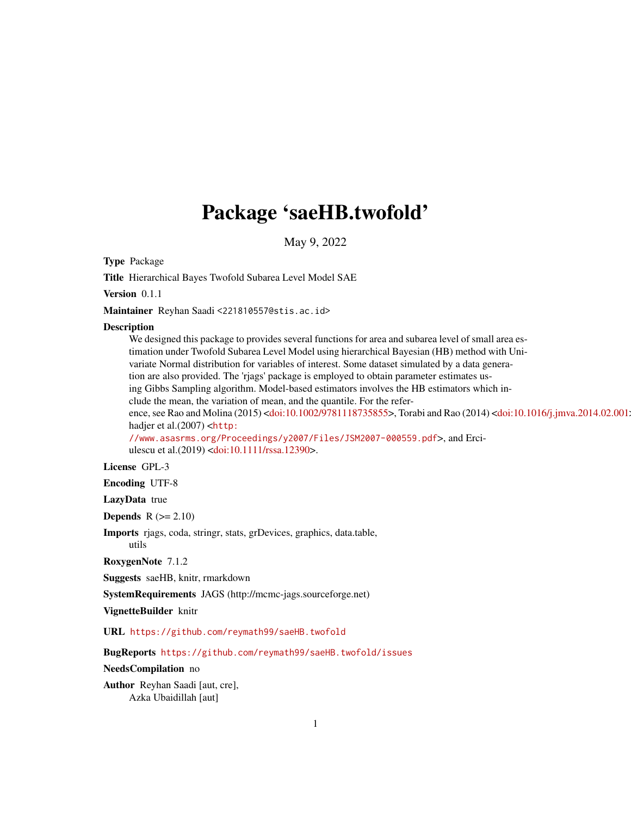# Package 'saeHB.twofold'

May 9, 2022

Type Package

Title Hierarchical Bayes Twofold Subarea Level Model SAE

Version 0.1.1

Maintainer Reyhan Saadi <221810557@stis.ac.id>

#### Description

We designed this package to provides several functions for area and subarea level of small area estimation under Twofold Subarea Level Model using hierarchical Bayesian (HB) method with Univariate Normal distribution for variables of interest. Some dataset simulated by a data generation are also provided. The 'rjags' package is employed to obtain parameter estimates using Gibbs Sampling algorithm. Model-based estimators involves the HB estimators which include the mean, the variation of mean, and the quantile. For the refer-ence, see Rao and Molina (2015) [<doi:10.1002/9781118735855>](https://doi.org/10.1002/9781118735855), Torabi and Rao (2014) <doi:10.1016/j.jmva.2014.02.001 hadjer et al.(2007) <[http:](http://www.asasrms.org/Proceedings/y2007/Files/JSM2007-000559.pdf) [//www.asasrms.org/Proceedings/y2007/Files/JSM2007-000559.pdf](http://www.asasrms.org/Proceedings/y2007/Files/JSM2007-000559.pdf)>, and Erci-

ulescu et al.(2019) [<doi:10.1111/rssa.12390>](https://doi.org/10.1111/rssa.12390).

### License GPL-3

Encoding UTF-8

LazyData true

Depends  $R$  ( $>= 2.10$ )

Imports rjags, coda, stringr, stats, grDevices, graphics, data.table, utils

RoxygenNote 7.1.2

Suggests saeHB, knitr, rmarkdown

SystemRequirements JAGS (http://mcmc-jags.sourceforge.net)

VignetteBuilder knitr

URL <https://github.com/reymath99/saeHB.twofold>

BugReports <https://github.com/reymath99/saeHB.twofold/issues>

#### NeedsCompilation no

Author Reyhan Saadi [aut, cre], Azka Ubaidillah [aut]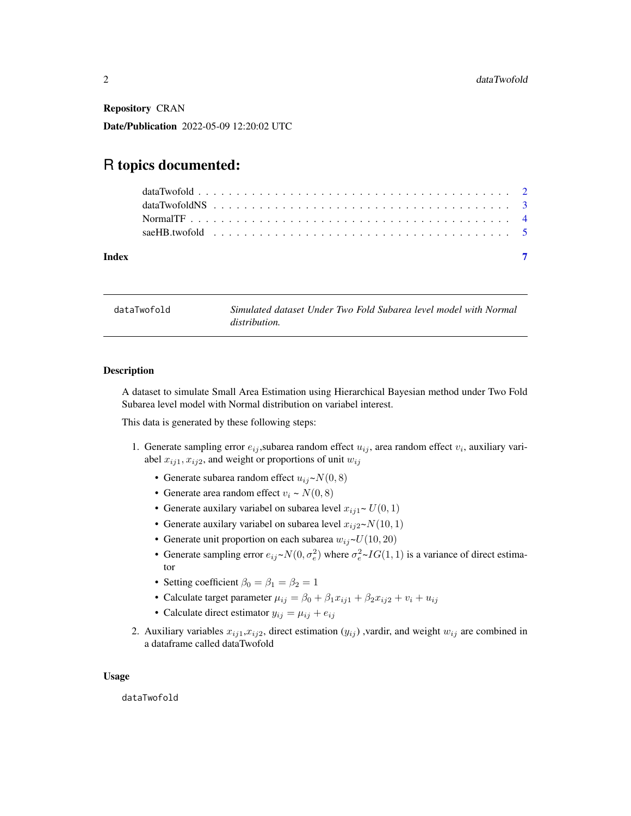Repository CRAN

Date/Publication 2022-05-09 12:20:02 UTC

## R topics documented:

| Index |  |  |  |  |  |  |  |  |  |  |  |  |  |  |  |  |  |  |
|-------|--|--|--|--|--|--|--|--|--|--|--|--|--|--|--|--|--|--|

<span id="page-1-1"></span>dataTwofold *Simulated dataset Under Two Fold Subarea level model with Normal distribution.*

#### Description

A dataset to simulate Small Area Estimation using Hierarchical Bayesian method under Two Fold Subarea level model with Normal distribution on variabel interest.

This data is generated by these following steps:

- 1. Generate sampling error  $e_{ij}$ , subarea random effect  $u_{ij}$ , area random effect  $v_i$ , auxiliary variabel  $x_{ij1}, x_{ij2}$ , and weight or proportions of unit  $w_{ij}$ 
	- Generate subarea random effect  $u_{ij} \sim N(0, 8)$
	- Generate area random effect  $v_i \sim N(0, 8)$
	- Generate auxilary variabel on subarea level  $x_{i1} \sim U(0, 1)$
	- Generate auxilary variabel on subarea level  $x_{ij2} \sim N(10, 1)$
	- Generate unit proportion on each subarea  $w_{ij} \sim U(10, 20)$
	- Generate sampling error  $e_{ij} \sim N(0, \sigma_e^2)$  where  $\sigma_e^2 \sim IG(1, 1)$  is a variance of direct estimator
	- Setting coefficient  $\beta_0 = \beta_1 = \beta_2 = 1$
	- Calculate target parameter  $\mu_{ij} = \beta_0 + \beta_1 x_{ij1} + \beta_2 x_{ij2} + v_i + u_{ij}$
	- Calculate direct estimator  $y_{ij} = \mu_{ij} + e_{ij}$
- 2. Auxiliary variables  $x_{ij1}, x_{ij2}$ , direct estimation  $(y_{ij})$ , vardir, and weight  $w_{ij}$  are combined in a dataframe called dataTwofold

#### Usage

dataTwofold

<span id="page-1-0"></span>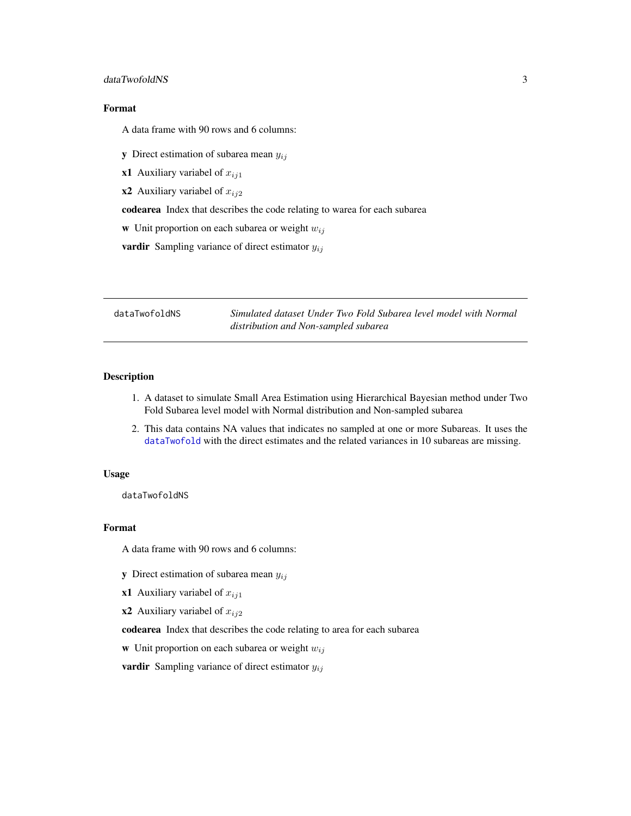#### <span id="page-2-0"></span>dataTwofoldNS 3

#### Format

A data frame with 90 rows and 6 columns:

**y** Direct estimation of subarea mean  $y_{ij}$ 

x1 Auxiliary variabel of  $x_{ij1}$ 

x2 Auxiliary variabel of  $x_{ij2}$ 

codearea Index that describes the code relating to warea for each subarea

w Unit proportion on each subarea or weight  $w_{ij}$ 

**vardir** Sampling variance of direct estimator  $y_{ij}$ 

dataTwofoldNS *Simulated dataset Under Two Fold Subarea level model with Normal distribution and Non-sampled subarea*

#### Description

- 1. A dataset to simulate Small Area Estimation using Hierarchical Bayesian method under Two Fold Subarea level model with Normal distribution and Non-sampled subarea
- 2. This data contains NA values that indicates no sampled at one or more Subareas. It uses the [dataTwofold](#page-1-1) with the direct estimates and the related variances in 10 subareas are missing.

#### Usage

dataTwofoldNS

#### Format

A data frame with 90 rows and 6 columns:

- **y** Direct estimation of subarea mean  $y_{ij}$
- x1 Auxiliary variabel of  $x_{ij1}$
- x2 Auxiliary variabel of  $x_{ij2}$

codearea Index that describes the code relating to area for each subarea

w Unit proportion on each subarea or weight  $w_{ij}$ 

**vardir** Sampling variance of direct estimator  $y_{ij}$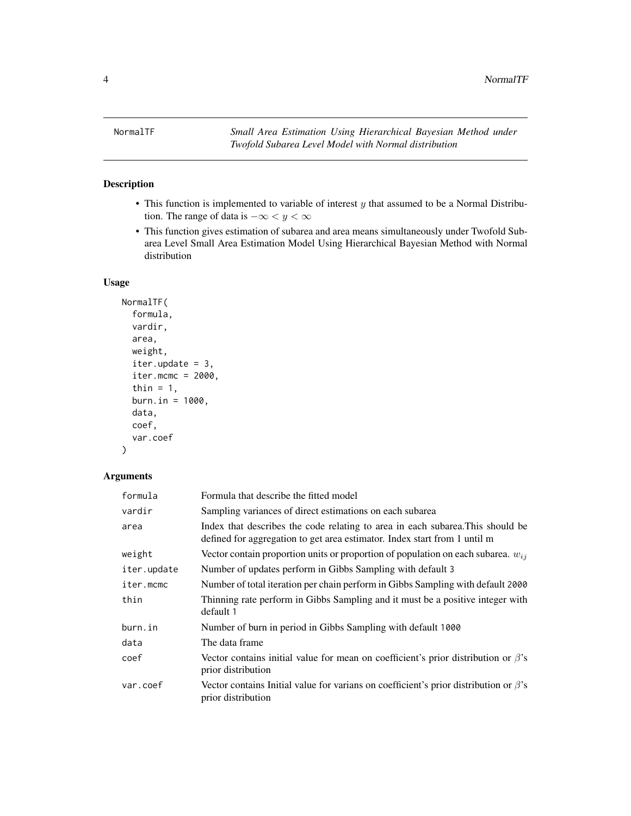<span id="page-3-1"></span><span id="page-3-0"></span>

#### Description

- $\bullet$  This function is implemented to variable of interest  $y$  that assumed to be a Normal Distribution. The range of data is  $-\infty < y < \infty$
- This function gives estimation of subarea and area means simultaneously under Twofold Subarea Level Small Area Estimation Model Using Hierarchical Bayesian Method with Normal distribution

#### Usage

```
NormalTF(
  formula,
  vardir,
  area,
  weight,
  iter.update = 3,
  iter.mcmc = 2000,thin = 1,
  burn.in = 1000,
  data,
  coef,
  var.coef
```
#### Arguments

 $\mathcal{L}$ 

| formula     | Formula that describe the fitted model                                                                                                                      |
|-------------|-------------------------------------------------------------------------------------------------------------------------------------------------------------|
| vardir      | Sampling variances of direct estimations on each subarea                                                                                                    |
| area        | Index that describes the code relating to area in each subarea. This should be<br>defined for aggregation to get area estimator. Index start from 1 until m |
| weight      | Vector contain proportion units or proportion of population on each subarea. $w_{ij}$                                                                       |
| iter.update | Number of updates perform in Gibbs Sampling with default 3                                                                                                  |
| iter.mcmc   | Number of total iteration per chain perform in Gibbs Sampling with default 2000                                                                             |
| thin        | Thinning rate perform in Gibbs Sampling and it must be a positive integer with<br>default 1                                                                 |
| burn.in     | Number of burn in period in Gibbs Sampling with default 1000                                                                                                |
| data        | The data frame                                                                                                                                              |
| coef        | Vector contains initial value for mean on coefficient's prior distribution or $\beta$ 's<br>prior distribution                                              |
| var.coef    | Vector contains Initial value for varians on coefficient's prior distribution or $\beta$ 's<br>prior distribution                                           |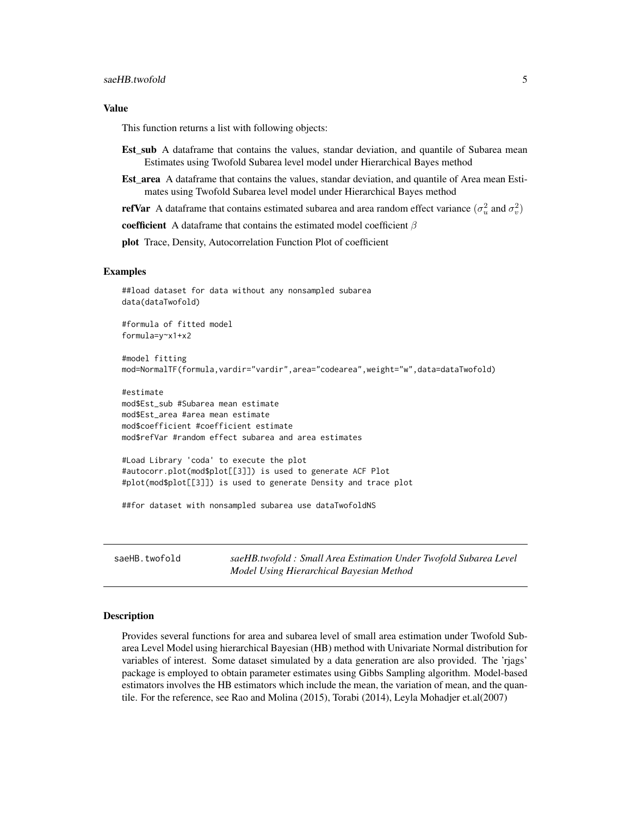#### <span id="page-4-0"></span>saeHB.twofold 5

#### Value

This function returns a list with following objects:

- Est sub A dataframe that contains the values, standar deviation, and quantile of Subarea mean Estimates using Twofold Subarea level model under Hierarchical Bayes method
- **Est area** A dataframe that contains the values, standar deviation, and quantile of Area mean Estimates using Twofold Subarea level model under Hierarchical Bayes method

**refVar** A dataframe that contains estimated subarea and area random effect variance  $(\sigma_u^2 \text{ and } \sigma_v^2)$ 

coefficient A dataframe that contains the estimated model coefficient  $\beta$ 

plot Trace, Density, Autocorrelation Function Plot of coefficient

#### Examples

```
##load dataset for data without any nonsampled subarea
data(dataTwofold)
#formula of fitted model
formula=y~x1+x2
#model fitting
mod=NormalTF(formula,vardir="vardir",area="codearea",weight="w",data=dataTwofold)
#estimate
mod$Est_sub #Subarea mean estimate
mod$Est_area #area mean estimate
mod$coefficient #coefficient estimate
mod$refVar #random effect subarea and area estimates
#Load Library 'coda' to execute the plot
#autocorr.plot(mod$plot[[3]]) is used to generate ACF Plot
#plot(mod$plot[[3]]) is used to generate Density and trace plot
##for dataset with nonsampled subarea use dataTwofoldNS
```
saeHB.twofold *saeHB.twofold : Small Area Estimation Under Twofold Subarea Level Model Using Hierarchical Bayesian Method*

#### **Description**

Provides several functions for area and subarea level of small area estimation under Twofold Subarea Level Model using hierarchical Bayesian (HB) method with Univariate Normal distribution for variables of interest. Some dataset simulated by a data generation are also provided. The 'rjags' package is employed to obtain parameter estimates using Gibbs Sampling algorithm. Model-based estimators involves the HB estimators which include the mean, the variation of mean, and the quantile. For the reference, see Rao and Molina (2015), Torabi (2014), Leyla Mohadjer et.al(2007)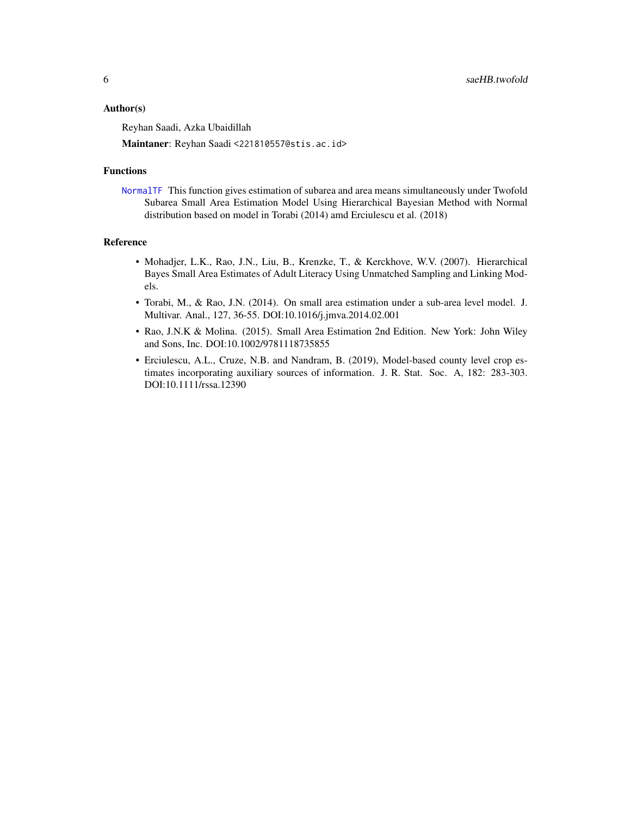#### <span id="page-5-0"></span>Author(s)

Reyhan Saadi, Azka Ubaidillah

Maintaner: Reyhan Saadi <221810557@stis.ac.id>

#### Functions

[NormalTF](#page-3-1) This function gives estimation of subarea and area means simultaneously under Twofold Subarea Small Area Estimation Model Using Hierarchical Bayesian Method with Normal distribution based on model in Torabi (2014) amd Erciulescu et al. (2018)

#### Reference

- Mohadjer, L.K., Rao, J.N., Liu, B., Krenzke, T., & Kerckhove, W.V. (2007). Hierarchical Bayes Small Area Estimates of Adult Literacy Using Unmatched Sampling and Linking Models.
- Torabi, M., & Rao, J.N. (2014). On small area estimation under a sub-area level model. J. Multivar. Anal., 127, 36-55. DOI:10.1016/j.jmva.2014.02.001
- Rao, J.N.K & Molina. (2015). Small Area Estimation 2nd Edition. New York: John Wiley and Sons, Inc. DOI:10.1002/9781118735855
- Erciulescu, A.L., Cruze, N.B. and Nandram, B. (2019), Model-based county level crop estimates incorporating auxiliary sources of information. J. R. Stat. Soc. A, 182: 283-303. DOI:10.1111/rssa.12390